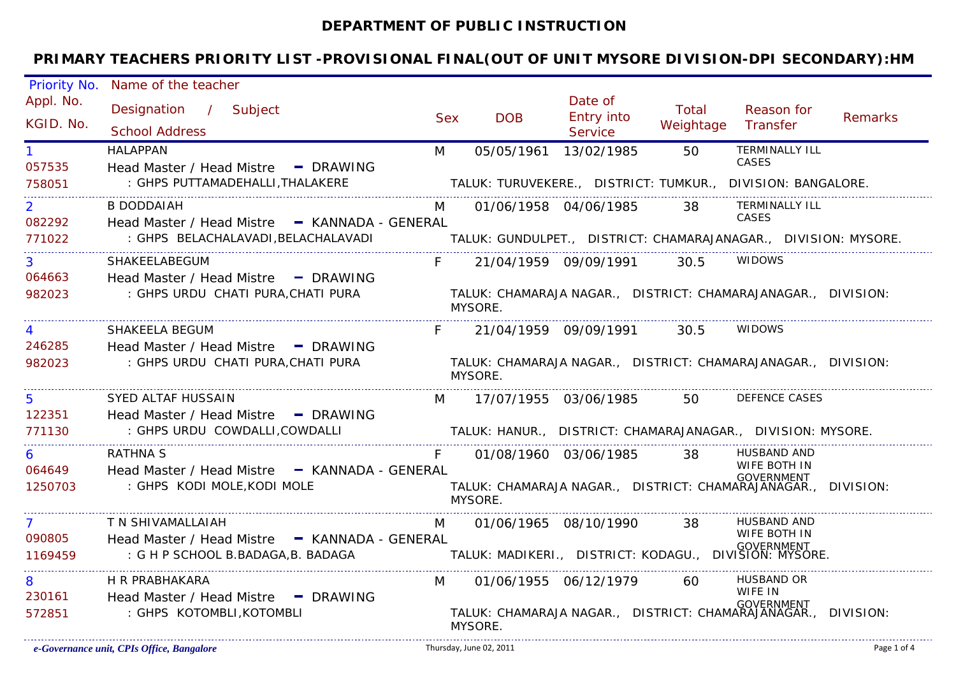#### **DEPARTMENT OF PUBLIC INSTRUCTION**

| Priority No.             | Name of the teacher                                                                 |            |                                                        |                                         |                    |                                                                                               |                |
|--------------------------|-------------------------------------------------------------------------------------|------------|--------------------------------------------------------|-----------------------------------------|--------------------|-----------------------------------------------------------------------------------------------|----------------|
| Appl. No.<br>KGID. No.   | Designation / Subject<br><b>School Address</b>                                      | <b>Sex</b> | <b>DOB</b>                                             | Date of<br><b>Entry into</b><br>Service | Total<br>Weightage | Reason for<br>Transfer                                                                        | <b>Remarks</b> |
| 057535                   | <b>HALAPPAN</b><br>Head Master / Head Mistre - DRAWING                              | M          | 05/05/1961 13/02/1985                                  |                                         | 50                 | <b>TERMINALLY ILL</b><br>CASES                                                                |                |
| 758051                   | : GHPS PUTTAMADEHALLI, THALAKERE                                                    |            |                                                        |                                         |                    | TALUK: TURUVEKERE., DISTRICT: TUMKUR., DIVISION: BANGALORE.                                   |                |
| $\overline{2}$<br>082292 | B DODDAIAH<br>Head Master / Head Mistre - KANNADA - GENERAL                         |            |                                                        | 01/06/1958 04/06/1985                   | 38                 | TERMINALLY ILL<br>CASES                                                                       |                |
| 771022                   | : GHPS BELACHALAVADI, BELACHALAVADI                                                 |            |                                                        |                                         |                    | TALUK: GUNDULPET., DISTRICT: CHAMARAJANAGAR., DIVISION: MYSORE.                               |                |
| $\overline{3}$<br>064663 | SHAKEELABEGUM<br>Head Master / Head Mistre - DRAWING                                | $F -$      |                                                        | 21/04/1959 09/09/1991 30.5              |                    | <b>WIDOWS</b>                                                                                 |                |
| 982023                   | : GHPS URDU CHATI PURA,CHATI PURA                                                   |            | MYSORE.                                                |                                         |                    | TALUK: CHAMARAJA NAGAR., DISTRICT: CHAMARAJANAGAR., DIVISION:                                 |                |
| $\overline{4}$           | SHAKEELA BEGUM                                                                      | F.         |                                                        | 21/04/1959 09/09/1991                   | 30.5               | <b>WIDOWS</b>                                                                                 |                |
| 246285<br>982023         | Head Master / Head Mistre - DRAWING<br>: GHPS URDU CHATI PURA, CHATI PURA           |            | MYSORE.                                                |                                         |                    | TALUK: CHAMARAJA NAGAR., DISTRICT: CHAMARAJANAGAR., DIVISION:                                 |                |
| 5                        | SYED ALTAF HUSSAIN                                                                  | M          |                                                        | 17/07/1955   03/06/1985                 | 50                 | <b>DEFENCE CASES</b>                                                                          |                |
| 122351<br>771130         | Head Master / Head Mistre - DRAWING<br>: GHPS URDU COWDALLI, COWDALLI               |            |                                                        |                                         |                    | TALUK: HANUR., DISTRICT: CHAMARAJANAGAR., DIVISION: MYSORE.                                   |                |
| 6                        | RATHNA S                                                                            | F.         |                                                        | 01/08/1960 03/06/1985 38                |                    | <b>HUSBAND AND</b><br><b>WIFE BOTH IN</b>                                                     |                |
| 064649<br>1250703        | Head Master / Head Mistre - KANNADA - GENERAL<br>: GHPS KODI MOLE, KODI MOLE        |            | MYSORE.                                                |                                         |                    | <b>GOVERNMENT</b><br>TALUK: CHAMARAJA NAGAR., DISTRICT: CHAMARAJANAGAR., DIVISION:            |                |
| 7 <sup>1</sup>           | T N SHIVAMALLAIAH                                                                   | M          |                                                        | 01/06/1965 08/10/1990 38                |                    | HUSBAND AND<br>WIFE BOTH IN                                                                   |                |
| 090805<br>1169459        | Head Master / Head Mistre - KANNADA - GENERAL<br>: G H P SCHOOL B.BADAGA, B. BADAGA |            | TALUK: MADIKERI., DISTRICT: KODAGU., DIVIŠION: MYSORE. |                                         |                    | <b>GOVERNMENT</b>                                                                             |                |
| 8                        | H R PRABHAKARA                                                                      | M          |                                                        | 01/06/1955 06/12/1979                   | 60                 | <b>HUSBAND OR</b>                                                                             |                |
| 230161<br>572851         | Head Master / Head Mistre - DRAWING<br>: GHPS KOTOMBLI, KOTOMBLI                    |            | MYSORE.                                                |                                         |                    | WIFE IN<br><b>GOVERNMENT</b><br>TALUK: CHAMARAJA NAGAR., DISTRICT: CHAMARAJANAGAR., DIVISION: |                |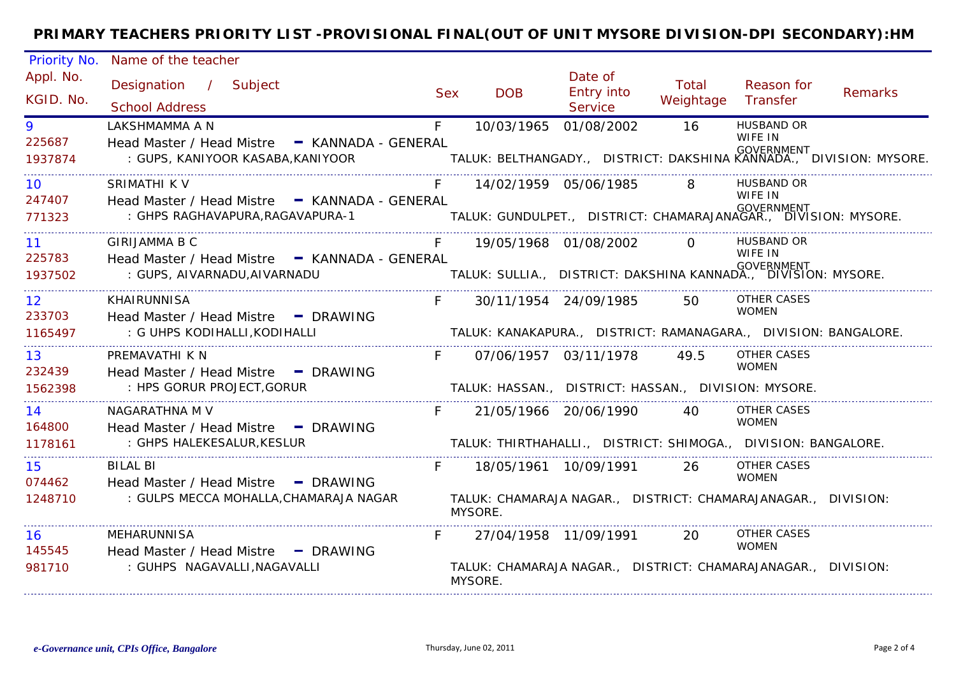| Priority No.              | Name of the teacher                                                                                                                                                               |            |                                                                                          |                                                |                    |                                    |                |  |
|---------------------------|-----------------------------------------------------------------------------------------------------------------------------------------------------------------------------------|------------|------------------------------------------------------------------------------------------|------------------------------------------------|--------------------|------------------------------------|----------------|--|
| Appl. No.<br>KGID. No.    | Designation / Subject<br><b>School Address</b>                                                                                                                                    | <b>Sex</b> | <b>DOB</b>                                                                               | Date of<br><b>Entry into</b><br><b>Service</b> | Total<br>Weightage | Reason for<br>Transfer             | <b>Remarks</b> |  |
| 9<br>225687<br>1937874    | LAKSHMAMMA A N<br>Head Master / Head Mistre - KANNADA - GENERAL<br>GOVERNMENT (GUPS, KANIYOOR KASABA,KANIYOOR TALUK: BELTHANGADY., DISTRICT: DAKSHINA KANNADA., DIVISION: MYSORE. | F          |                                                                                          | 10/03/1965 01/08/2002                          | 16                 | <b>HUSBAND OR</b><br>WIFE IN       |                |  |
| 10<br>247407              | <b>SRIMATHI K V</b><br>Head Master / Head Mistre - KANNADA - GENERAL                                                                                                              | F.         |                                                                                          | 14/02/1959 05/06/1985                          | 8                  | <b>HUSBAND OR</b><br>WIFE IN       |                |  |
| 771323                    | : GHPS RAGHAVAPURA,RAGAVAPURA-1                                                                                                                                                   |            | GOVERNMENT ( GUNLINAL TALUK: GUNDULPET.,   DISTRICT: CHAMARAJANAGAR.,  DIVISION: MYSORE. |                                                |                    |                                    |                |  |
| 11<br>225783              | <b>GIRIJAMMA B C</b><br>Head Master / Head Mistre - KANNADA - GENERAL                                                                                                             | F          |                                                                                          | 19/05/1968 01/08/2002 0                        |                    | <b>HUSBAND OR</b><br>WIFE IN       |                |  |
| 1937502                   | : GUPS, AIVARNADU,AIVARNADU                                                                                                                                                       |            | GOVERNMENT - GENERAL<br>.TALUK: SULLIA.,  DISTRICT: DAKSHINA KANNADA.,  DIVISION: MYSORE |                                                |                    |                                    |                |  |
| 12 <sup>°</sup><br>233703 | <b>KHAIRUNNISA</b><br>Head Master / Head Mistre - DRAWING                                                                                                                         | $F =$      |                                                                                          | 30/11/1954 24/09/1985                          | 50                 | <b>OTHER CASES</b><br><b>WOMEN</b> |                |  |
| 1165497                   | : G UHPS KODIHALLI,KODIHALLI                                                                                                                                                      |            | TALUK: KANAKAPURA., DISTRICT: RAMANAGARA., DIVISION: BANGALORE.                          |                                                |                    |                                    |                |  |
| 13<br>232439              | PREMAVATHI K N<br>Head Master / Head Mistre - DRAWING                                                                                                                             | F.         |                                                                                          | 07/06/1957 03/11/1978                          | 49.5               | OTHER CASES<br><b>WOMEN</b>        |                |  |
| 1562398                   | : HPS GORUR PROJECT, GORUR                                                                                                                                                        |            | TALUK: HASSAN., DISTRICT: HASSAN., DIVISION: MYSORE.                                     |                                                |                    |                                    |                |  |
| 14<br>164800              | NAGARATHNA M V<br>Head Master / Head Mistre - DRAWING                                                                                                                             | F          |                                                                                          | 21/05/1966 20/06/1990                          | 40                 | OTHER CASES<br><b>WOMEN</b>        |                |  |
| 1178161                   | : GHPS HALEKESALUR, KESLUR                                                                                                                                                        |            | TALUK: THIRTHAHALLI., DISTRICT: SHIMOGA., DIVISION: BANGALORE.                           |                                                |                    |                                    |                |  |
| 15<br>074462              | BILAL BI<br>Head Master / Head Mistre - DRAWING                                                                                                                                   |            |                                                                                          |                                                | 26                 | OTHER CASES<br><b>WOMEN</b>        |                |  |
| 1248710                   | : GULPS MECCA MOHALLA, CHAMARAJA NAGAR                                                                                                                                            |            | TALUK: CHAMARAJA NAGAR., DISTRICT: CHAMARAJANAGAR., DIVISION:<br>MYSORE.                 |                                                |                    |                                    |                |  |
| 16<br>145545              | MEHARUNNISA<br>Head Master / Head Mistre - DRAWING                                                                                                                                |            |                                                                                          | 27/04/1958 11/09/1991                          | <b>20</b>          | OTHER CASES<br><b>WOMEN</b>        |                |  |
| 981710                    | : GUHPS NAGAVALLI, NAGAVALLI                                                                                                                                                      |            | TALUK: CHAMARAJA NAGAR., DISTRICT: CHAMARAJANAGAR., DIVISION:<br>MYSORE.                 |                                                |                    |                                    |                |  |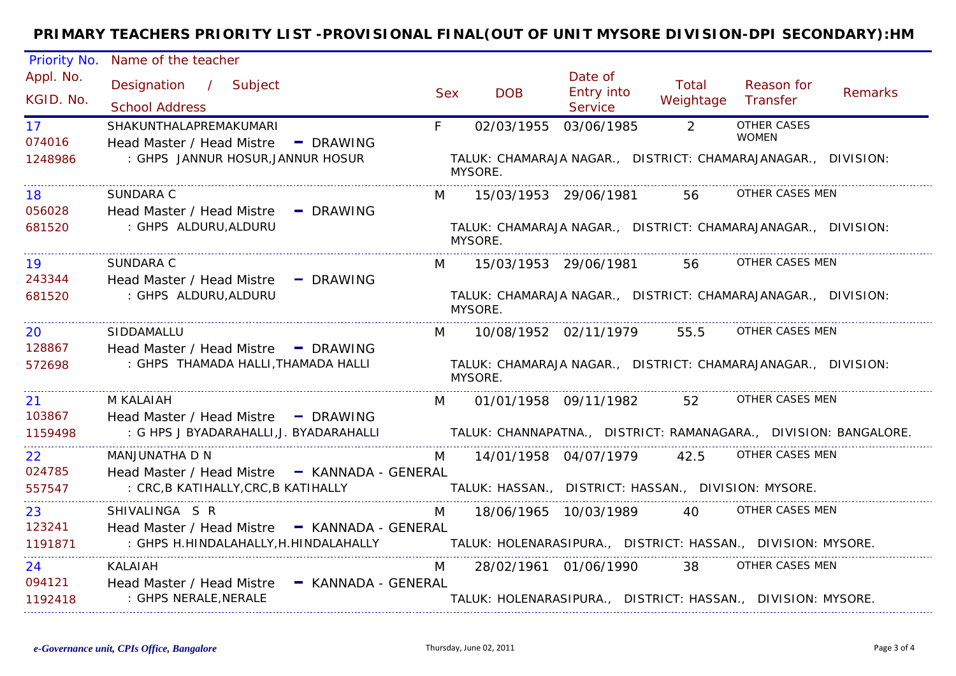| Priority No.              | Name of the teacher                                                                                                                                                  |                |                                                                          |                                         |                    |                             |         |
|---------------------------|----------------------------------------------------------------------------------------------------------------------------------------------------------------------|----------------|--------------------------------------------------------------------------|-----------------------------------------|--------------------|-----------------------------|---------|
| Appl. No.<br>KGID. No.    | Designation / Subject<br><b>School Address</b>                                                                                                                       | <b>Sex</b>     | <b>DOB</b>                                                               | Date of<br><b>Entry into</b><br>Service | Total<br>Weightage | Reason for<br>Transfer      | Remarks |
| 17 <sup>7</sup><br>074016 | SHAKUNTHALAPREMAKUMARI<br>Head Master / Head Mistre - DRAWING                                                                                                        | F              | 02/03/1955 03/06/1985                                                    |                                         | $\overline{2}$     | OTHER CASES<br><b>WOMEN</b> |         |
| 1248986                   | : GHPS JANNUR HOSUR, JANNUR HOSUR                                                                                                                                    |                | TALUK: CHAMARAJA NAGAR., DISTRICT: CHAMARAJANAGAR., DIVISION:<br>MYSORE. |                                         |                    |                             |         |
| 18<br>056028              | <b>SUNDARA C</b><br>Head Master / Head Mistre - DRAWING                                                                                                              | M              |                                                                          | 15/03/1953 29/06/1981                   | 56                 | OTHER CASES MEN             |         |
| 681520                    | : GHPS ALDURU, ALDURU                                                                                                                                                |                | TALUK: CHAMARAJA NAGAR., DISTRICT: CHAMARAJANAGAR., DIVISION:<br>MYSORE. |                                         |                    |                             |         |
| 19<br>243344              | SUNDARA C<br>Head Master / Head Mistre - DRAWING                                                                                                                     | M              |                                                                          | 15/03/1953 29/06/1981                   | 56                 | OTHER CASES MEN             |         |
| 681520                    | : GHPS ALDURU, ALDURU                                                                                                                                                |                | TALUK: CHAMARAJA NAGAR., DISTRICT: CHAMARAJANAGAR., DIVISION:<br>MYSORE. |                                         |                    |                             |         |
| 20<br>128867              | SIDDAMALLU<br>Head Master / Head Mistre - DRAWING                                                                                                                    | M              |                                                                          | 10/08/1952 02/11/1979                   | 55.5               | OTHER CASES MEN             |         |
| 572698                    | : GHPS THAMADA HALLI, THAMADA HALLI                                                                                                                                  |                | TALUK: CHAMARAJA NAGAR., DISTRICT: CHAMARAJANAGAR., DIVISION:<br>MYSORE. |                                         |                    |                             |         |
| 21<br>103867              | M KALAIAH                                                                                                                                                            | M <sub>1</sub> |                                                                          | 01/01/1958 09/11/1982                   | 52                 | OTHER CASES MEN             |         |
| 1159498                   | Head Master / Head Mistre - DRAWING<br>: G HPS J BYADARAHALLI,J. BYADARAHALLI                 TALUK: CHANNAPATNA.,   DISTRICT: RAMANAGARA.,   DIVISION: BANGALORE.   |                |                                                                          |                                         |                    |                             |         |
| <b>22</b><br>024785       | MANJUNATHA D N<br>Head Master / Head Mistre - KANNADA - GENERAL                                                                                                      | M              |                                                                          | 14/01/1958 04/07/1979 42.5              |                    | OTHER CASES MEN             |         |
| 557547                    | : CRC, B KATIHALLY, CRC, B KATIHALLY                                                                                                                                 |                | TALUK: HASSAN.,   DISTRICT: HASSAN.,   DIVISION: MYSORE.                 |                                         |                    |                             |         |
| 23                        | SHIVALINGA S R                                                                                                                                                       |                | M  18/06/1965  10/03/1989  40  OTHER CASES MEN                           |                                         |                    |                             |         |
| 123241<br>1191871         | Head Master / Head Mistre - KANNADA - GENERAL<br>: GHPS H.HINDALAHALLY,H.HINDALAHALLY                 TALUK: HOLENARASIPURA.,  DISTRICT: HASSAN.,  DIVISION: MYSORE. |                |                                                                          |                                         |                    |                             |         |
| 24<br>094121              | <b>KALAIAH</b><br>Head Master / Head Mistre - KANNADA - GENERAL                                                                                                      | M              |                                                                          | 28/02/1961 01/06/1990                   |                    | 38 OTHER CASES MEN          |         |
| 1192418                   | : GHPS NERALE, NERALE                                                                                                                                                |                | TALUK: HOLENARASIPURA., DISTRICT: HASSAN., DIVISION: MYSORE.             |                                         |                    |                             |         |